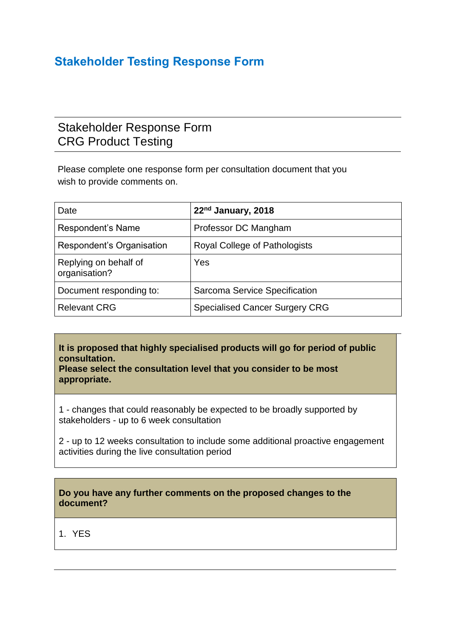## **Stakeholder Testing Response Form**

## Stakeholder Response Form CRG Product Testing

Please complete one response form per consultation document that you wish to provide comments on.

| Date                                   | 22 <sup>nd</sup> January, 2018        |
|----------------------------------------|---------------------------------------|
| Respondent's Name                      | Professor DC Mangham                  |
| Respondent's Organisation              | <b>Royal College of Pathologists</b>  |
| Replying on behalf of<br>organisation? | Yes                                   |
| Document responding to:                | Sarcoma Service Specification         |
| <b>Relevant CRG</b>                    | <b>Specialised Cancer Surgery CRG</b> |

**It is proposed that highly specialised products will go for period of public consultation.**

**Please select the consultation level that you consider to be most appropriate.**

1 - changes that could reasonably be expected to be broadly supported by stakeholders - up to 6 week consultation

2 - up to 12 weeks consultation to include some additional proactive engagement activities during the live consultation period

## **Do you have any further comments on the proposed changes to the document?**

1. YES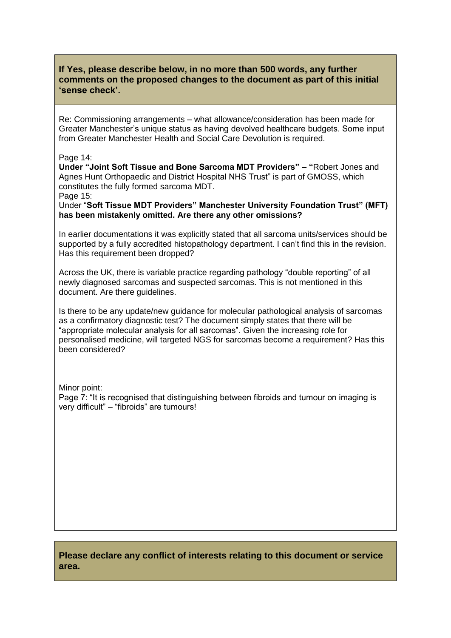## **If Yes, please describe below, in no more than 500 words, any further comments on the proposed changes to the document as part of this initial 'sense check'.**

Re: Commissioning arrangements – what allowance/consideration has been made for Greater Manchester's unique status as having devolved healthcare budgets. Some input from Greater Manchester Health and Social Care Devolution is required.

Page 14:

**Under "Joint Soft Tissue and Bone Sarcoma MDT Providers" – "**Robert Jones and Agnes Hunt Orthopaedic and District Hospital NHS Trust" is part of GMOSS, which constitutes the fully formed sarcoma MDT.

Page 15:

Under "**Soft Tissue MDT Providers" Manchester University Foundation Trust" (MFT) has been mistakenly omitted. Are there any other omissions?**

In earlier documentations it was explicitly stated that all sarcoma units/services should be supported by a fully accredited histopathology department. I can't find this in the revision. Has this requirement been dropped?

Across the UK, there is variable practice regarding pathology "double reporting" of all newly diagnosed sarcomas and suspected sarcomas. This is not mentioned in this document. Are there guidelines.

Is there to be any update/new guidance for molecular pathological analysis of sarcomas as a confirmatory diagnostic test? The document simply states that there will be "appropriate molecular analysis for all sarcomas". Given the increasing role for personalised medicine, will targeted NGS for sarcomas become a requirement? Has this been considered?

Minor point: Page 7: "It is recognised that distinguishing between fibroids and tumour on imaging is very difficult" – "fibroids" are tumours!

**Please declare any conflict of interests relating to this document or service area.**